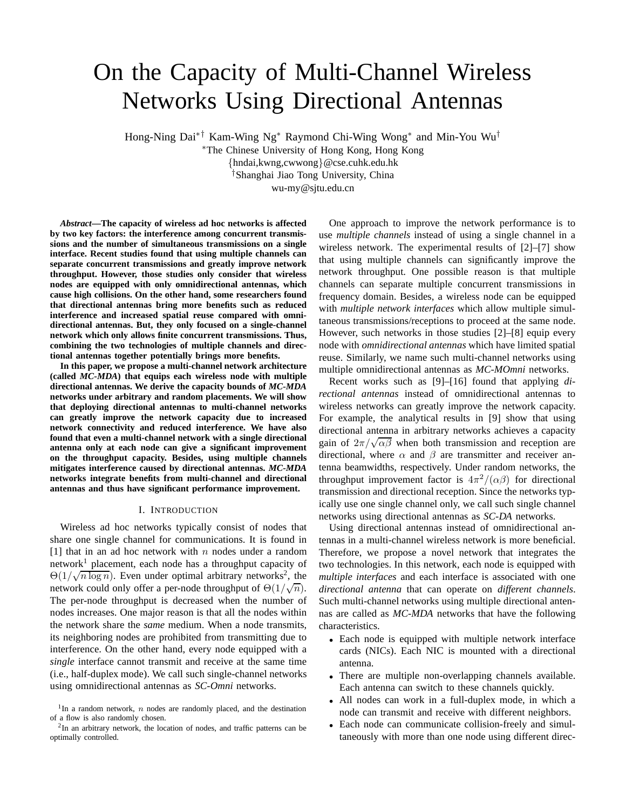# On the Capacity of Multi-Channel Wireless Networks Using Directional Antennas

Hong-Ning Dai∗† Kam-Wing Ng<sup>∗</sup> Raymond Chi-Wing Wong<sup>∗</sup> and Min-You Wu†

<sup>∗</sup>The Chinese University of Hong Kong, Hong Kong {hndai,kwng,cwwong}@cse.cuhk.edu.hk †Shanghai Jiao Tong University, China wu-my@sjtu.edu.cn

*Abstract***—The capacity of wireless ad hoc networks is affected by two key factors: the interference among concurrent transmissions and the number of simultaneous transmissions on a single interface. Recent studies found that using multiple channels can separate concurrent transmissions and greatly improve network throughput. However, those studies only consider that wireless nodes are equipped with only omnidirectional antennas, which cause high collisions. On the other hand, some researchers found that directional antennas bring more benefits such as reduced interference and increased spatial reuse compared with omnidirectional antennas. But, they only focused on a single-channel network which only allows finite concurrent transmissions. Thus, combining the two technologies of multiple channels and directional antennas together potentially brings more benefits.**

**In this paper, we propose a multi-channel network architecture (called** *MC-MDA***) that equips each wireless node with multiple directional antennas. We derive the capacity bounds of** *MC-MDA* **networks under arbitrary and random placements. We will show that deploying directional antennas to multi-channel networks can greatly improve the network capacity due to increased network connectivity and reduced interference. We have also found that even a multi-channel network with a single directional antenna only at each node can give a significant improvement on the throughput capacity. Besides, using multiple channels mitigates interference caused by directional antennas.** *MC-MDA* **networks integrate benefits from multi-channel and directional antennas and thus have significant performance improvement.**

## I. INTRODUCTION

Wireless ad hoc networks typically consist of nodes that share one single channel for communications. It is found in [1] that in an ad hoc network with  $n$  nodes under a random network<sup>1</sup> placement, each node has a throughput capacity of  $\Theta(1/\sqrt{n \log n})$ . Even under optimal arbitrary networks<sup>2</sup>, the network could only offer a per-node throughput of  $\Theta(1/\sqrt{n})$ . The per-node throughput is decreased when the number of nodes increases. One major reason is that all the nodes within the network share the *same* medium. When a node transmits, its neighboring nodes are prohibited from transmitting due to interference. On the other hand, every node equipped with a *single* interface cannot transmit and receive at the same time (i.e., half-duplex mode). We call such single-channel networks using omnidirectional antennas as *SC-Omni* networks.

One approach to improve the network performance is to use *multiple channels* instead of using a single channel in a wireless network. The experimental results of [2]–[7] show that using multiple channels can significantly improve the network throughput. One possible reason is that multiple channels can separate multiple concurrent transmissions in frequency domain. Besides, a wireless node can be equipped with *multiple network interfaces* which allow multiple simultaneous transmissions/receptions to proceed at the same node. However, such networks in those studies [2]–[8] equip every node with *omnidirectional antennas* which have limited spatial reuse. Similarly, we name such multi-channel networks using multiple omnidirectional antennas as *MC-MOmni* networks.

Recent works such as [9]–[16] found that applying *directional antennas* instead of omnidirectional antennas to wireless networks can greatly improve the network capacity. For example, the analytical results in [9] show that using directional antenna in arbitrary networks achieves a capacity gain of  $2\pi/\sqrt{\alpha\beta}$  when both transmission and reception are directional, where  $\alpha$  and  $\beta$  are transmitter and receiver antenna beamwidths, respectively. Under random networks, the throughput improvement factor is  $4\pi^2/(\alpha\beta)$  for directional transmission and directional reception. Since the networks typically use one single channel only, we call such single channel networks using directional antennas as *SC-DA* networks.

Using directional antennas instead of omnidirectional antennas in a multi-channel wireless network is more beneficial. Therefore, we propose a novel network that integrates the two technologies. In this network, each node is equipped with *multiple interfaces* and each interface is associated with one *directional antenna* that can operate on *different channels*. Such multi-channel networks using multiple directional antennas are called as *MC-MDA* networks that have the following characteristics.

- Each node is equipped with multiple network interface cards (NICs). Each NIC is mounted with a directional antenna.
- There are multiple non-overlapping channels available. Each antenna can switch to these channels quickly.
- All nodes can work in a full-duplex mode, in which a node can transmit and receive with different neighbors.
- Each node can communicate collision-freely and simultaneously with more than one node using different direc-

<sup>&</sup>lt;sup>1</sup>In a random network,  $n$  nodes are randomly placed, and the destination of a flow is also randomly chosen.

<sup>&</sup>lt;sup>2</sup>In an arbitrary network, the location of nodes, and traffic patterns can be optimally controlled.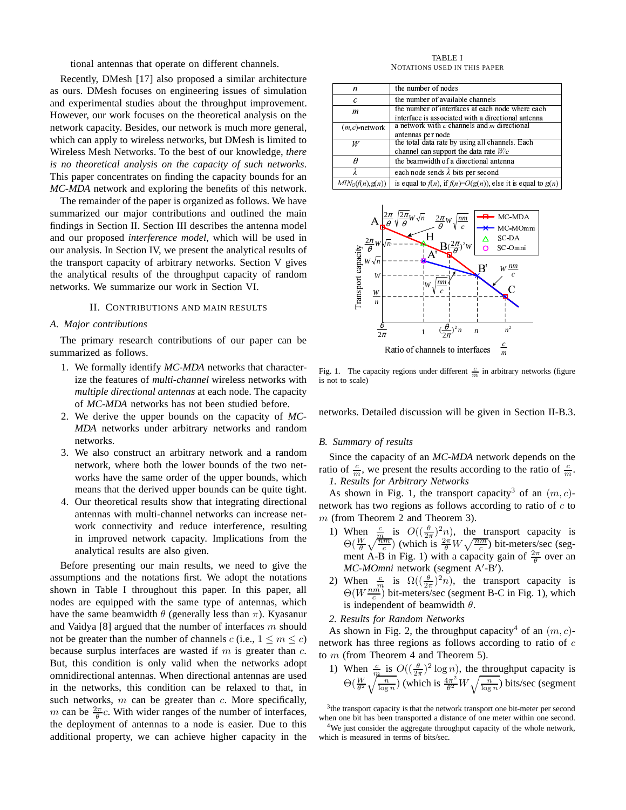tional antennas that operate on different channels.

Recently, DMesh [17] also proposed a similar architecture as ours. DMesh focuses on engineering issues of simulation and experimental studies about the throughput improvement. However, our work focuses on the theoretical analysis on the network capacity. Besides, our network is much more general, which can apply to wireless networks, but DMesh is limited to Wireless Mesh Networks. To the best of our knowledge, *there is no theoretical analysis on the capacity of such networks*. This paper concentrates on finding the capacity bounds for an *MC-MDA* network and exploring the benefits of this network.

The remainder of the paper is organized as follows. We have summarized our major contributions and outlined the main findings in Section II. Section III describes the antenna model and our proposed *interference model*, which will be used in our analysis. In Section IV, we present the analytical results of the transport capacity of arbitrary networks. Section V gives the analytical results of the throughput capacity of random networks. We summarize our work in Section VI.

## II. CONTRIBUTIONS AND MAIN RESULTS

## *A. Major contributions*

The primary research contributions of our paper can be summarized as follows.

- 1. We formally identify *MC-MDA* networks that characterize the features of *multi-channel* wireless networks with *multiple directional antennas* at each node. The capacity of *MC-MDA* networks has not been studied before.
- 2. We derive the upper bounds on the capacity of *MC-MDA* networks under arbitrary networks and random networks.
- 3. We also construct an arbitrary network and a random network, where both the lower bounds of the two networks have the same order of the upper bounds, which means that the derived upper bounds can be quite tight.
- 4. Our theoretical results show that integrating directional antennas with multi-channel networks can increase network connectivity and reduce interference, resulting in improved network capacity. Implications from the analytical results are also given.

Before presenting our main results, we need to give the assumptions and the notations first. We adopt the notations shown in Table I throughout this paper. In this paper, all nodes are equipped with the same type of antennas, which have the same beamwidth  $\theta$  (generally less than  $\pi$ ). Kyasanur and Vaidya [8] argued that the number of interfaces  $m$  should not be greater than the number of channels c (i.e.,  $1 \le m \le c$ ) because surplus interfaces are wasted if  $m$  is greater than  $c$ . But, this condition is only valid when the networks adopt omnidirectional antennas. When directional antennas are used in the networks, this condition can be relaxed to that, in such networks,  $m$  can be greater than  $c$ . More specifically, m can be  $\frac{2\pi}{\theta}c$ . With wider ranges of the number of interfaces, the deployment of antennas to a node is easier. Due to this additional property, we can achieve higher capacity in the

TABLE I NOTATIONS USED IN THIS PAPER

| n                             | the number of nodes                                                 |
|-------------------------------|---------------------------------------------------------------------|
| C                             | the number of available channels                                    |
| m                             | the number of interfaces at each node where each                    |
|                               | interface is associated with a directional antenna                  |
| $(m, c)$ -network             | a network with $c$ channels and $m$ directional                     |
|                               | antennas per node                                                   |
| W                             | the total data rate by using all channels. Each                     |
|                               | channel can support the data rate $W/c$                             |
|                               | the beamwidth of a directional antenna                              |
|                               | each node sends $\lambda$ bits per second                           |
| $MN_{\mathcal{O}}(f(n),g(n))$ | is equal to $f(n)$ , if $f(n)=O(g(n))$ , else it is equal to $g(n)$ |



Fig. 1. The capacity regions under different  $\frac{c}{m}$  in arbitrary networks (figure is not to scale)

networks. Detailed discussion will be given in Section II-B.3.

## *B. Summary of results*

Since the capacity of an *MC-MDA* network depends on the ratio of  $\frac{c}{m}$ , we present the results according to the ratio of  $\frac{c}{m}$ . *1. Results for Arbitrary Networks*

As shown in Fig. 1, the transport capacity<sup>3</sup> of an  $(m, c)$ network has two regions as follows according to ratio of  $c$  to m (from Theorem 2 and Theorem 3).

- 1) When  $\frac{c}{m}$  is  $O((\frac{\theta}{2\pi})^2 n)$ , the transport capacity is  $\Theta(\frac{W}{\theta}\sqrt{\frac{nm}{c}})$  (which is  $\frac{2\pi}{\theta}W\sqrt{\frac{nm}{c}}$ ) bit-meters/sec (segment A-B in Fig. 1) with a capacity gain of  $\frac{2\pi}{\theta}$  over an *MC-MOmni* network (segment A'-B').
- 2) When  $\frac{c}{m}$  is  $\Omega((\frac{\theta}{2\pi})^2 n)$ , the transport capacity is  $\Theta(W\frac{nm}{c})$  bit-meters/sec (segment B-C in Fig. 1), which is independent of beamwidth  $\theta$ .
- *2. Results for Random Networks*

As shown in Fig. 2, the throughput capacity<sup>4</sup> of an  $(m, c)$ network has three regions as follows according to ratio of  $c$ to  $m$  (from Theorem 4 and Theorem 5).

1) When  $\frac{c}{m}$  is  $O((\frac{\theta}{2\pi})^2 \log n)$ , the throughput capacity is  $\Theta(\frac{W}{\theta^2}\sqrt{\frac{n}{\log n}})$  (which is  $\frac{4\pi^2}{\theta^2}$  $\frac{4\pi^2}{\theta^2}W\sqrt{\frac{n}{\log n}}$ ) bits/sec (segment

<sup>4</sup>We just consider the aggregate throughput capacity of the whole network, which is measured in terms of bits/sec.

<sup>&</sup>lt;sup>3</sup> the transport capacity is that the network transport one bit-meter per second when one bit has been transported a distance of one meter within one second.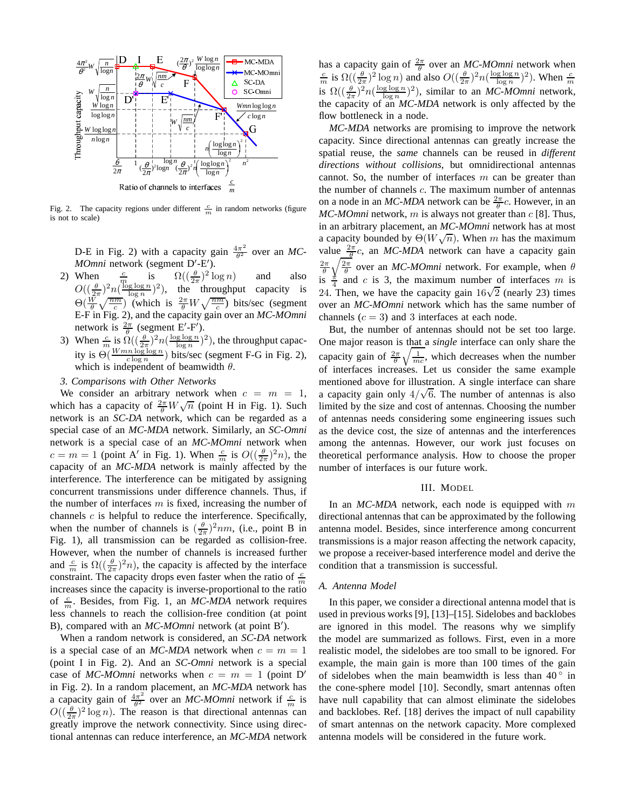

Fig. 2. The capacity regions under different  $\frac{c}{m}$  in random networks (figure is not to scale)

D-E in Fig. 2) with a capacity gain  $\frac{4\pi^2}{\theta^2}$  $\frac{4\pi^2}{\theta^2}$  over an *MC*-*MOmni* network (segment D'-E').

- 2) When  $\frac{c}{m}$  is  $\Omega((\frac{\theta}{2\pi})^2 \log n)$  and also  $O((\frac{\theta}{2\pi})^2 n(\frac{\log \log n}{\log n})^2)$ , the throughput capacity is  $\Theta(\frac{W}{\theta}\sqrt{\frac{nm}{c}})$  (which is  $\frac{2\pi}{\theta}W\sqrt{\frac{nm}{c}}$ ) bits/sec (segment E-F in Fig. 2), and the capacity gain over an *MC-MOmni* network is  $\frac{2\pi}{\theta}$  (segment E'-F').
- 3) When  $\frac{c}{m}$  is  $\Omega\left(\left(\frac{\theta}{2\pi}\right)^2 n\left(\frac{\log\log n}{\log n}\right)^2\right)$ , the throughput capacity is  $\Theta(\frac{Wmn \log \log n}{c \log n})$  bits/sec (segment F-G in Fig. 2), which is independent of beamwidth  $\theta$ .
- *3. Comparisons with Other Networks*

We consider an arbitrary network when  $c = m = 1$ , which has a capacity of  $\frac{2\pi}{\theta} W \sqrt{n}$  (point H in Fig. 1). Such network is an *SC-DA* network, which can be regarded as a special case of an *MC-MDA* network. Similarly, an *SC-Omni* network is a special case of an *MC-MOmni* network when  $c = m = 1$  (point A' in Fig. 1). When  $\frac{c}{m}$  is  $O((\frac{\theta}{2\pi})^2 n)$ , the capacity of an *MC-MDA* network is mainly affected by the interference. The interference can be mitigated by assigning concurrent transmissions under difference channels. Thus, if the number of interfaces  $m$  is fixed, increasing the number of channels  $c$  is helpful to reduce the interference. Specifically, when the number of channels is  $(\frac{\theta}{2\pi})^2$ nm, (i.e., point B in Fig. 1), all transmission can be regarded as collision-free. However, when the number of channels is increased further and  $\frac{c}{m}$  is  $\Omega\left(\left(\frac{\theta}{2\pi}\right)^2 n\right)$ , the capacity is affected by the interface constraint. The capacity drops even faster when the ratio of  $\frac{c}{m}$ increases since the capacity is inverse-proportional to the ratio of  $\frac{c}{m}$ . Besides, from Fig. 1, an *MC-MDA* network requires less channels to reach the collision-free condition (at point B), compared with an *MC-MOmni* network (at point B').

When a random network is considered, an *SC-DA* network is a special case of an *MC-MDA* network when  $c = m = 1$ (point I in Fig. 2). And an *SC-Omni* network is a special case of *MC-MOmni* networks when  $c = m = 1$  (point D' in Fig. 2). In a random placement, an *MC-MDA* network has a capacity gain of  $\frac{4\pi^2}{\theta^2}$  $\frac{4\pi^2}{\theta^2}$  over an *MC-MOmni* network if  $\frac{c}{m}$  is  $O((\frac{\theta}{2\pi})^2 \log n)$ . The reason is that directional antennas can greatly improve the network connectivity. Since using directional antennas can reduce interference, an *MC-MDA* network

has a capacity gain of  $\frac{2\pi}{\theta}$  over an *MC-MOmni* network when has a capacity gain of  $\theta$  over an *MC-MOmni* network when<br>  $\frac{c}{m}$  is  $\Omega((\frac{\theta}{2\pi})^2 \log n)$  and also  $O((\frac{\theta}{2\pi})^2 n(\frac{\log \log n}{\log n})^2)$ . When  $\frac{c}{m}$ <br>
is  $\Omega((\frac{\theta}{2\pi})^2 n(\frac{\log \log n}{\log n})^2)$ , similar to an *MC-MOmni* networ the capacity of an *MC-MDA* network is only affected by the flow bottleneck in a node.

*MC-MDA* networks are promising to improve the network capacity. Since directional antennas can greatly increase the spatial reuse, the *same* channels can be reused in *different directions without collisions*, but omnidirectional antennas cannot. So, the number of interfaces  $m$  can be greater than the number of channels  $c$ . The maximum number of antennas on a node in an *MC-MDA* network can be  $\frac{2\pi}{\theta}c$ . However, in an  $MC-MO$ *mni* network, m is always not greater than  $c$  [8]. Thus, in an arbitrary placement, an *MC-MOmni* network has at most a capacity bounded by  $\Theta(W\sqrt{n})$ . When m has the maximum value  $\frac{2\pi}{\theta}c$ , an *MC-MDA* network can have a capacity gain  $\frac{2\pi}{\theta} \sqrt{\frac{2\pi}{\theta}}$  over an *MC-MOmni* network. For example, when  $\theta$ is  $\frac{\pi}{4}$  and c is 3, the maximum number of interfaces m is 24. Then, we have the capacity gain  $16\sqrt{2}$  (nearly 23) times over an *MC-MOmni* network which has the same number of channels  $(c = 3)$  and 3 interfaces at each node.

But, the number of antennas should not be set too large. One major reason is that a *single* interface can only share the capacity gain of  $\frac{2\pi}{\theta}\sqrt{\frac{1}{mc}}$ , which decreases when the number of interfaces increases. Let us consider the same example mentioned above for illustration. A single interface can share a capacity gain only  $4/\sqrt{6}$ . The number of antennas is also limited by the size and cost of antennas. Choosing the number of antennas needs considering some engineering issues such as the device cost, the size of antennas and the interferences among the antennas. However, our work just focuses on theoretical performance analysis. How to choose the proper number of interfaces is our future work.

# III. MODEL

In an *MC-MDA* network, each node is equipped with m directional antennas that can be approximated by the following antenna model. Besides, since interference among concurrent transmissions is a major reason affecting the network capacity, we propose a receiver-based interference model and derive the condition that a transmission is successful.

# *A. Antenna Model*

In this paper, we consider a directional antenna model that is used in previous works [9], [13]–[15]. Sidelobes and backlobes are ignored in this model. The reasons why we simplify the model are summarized as follows. First, even in a more realistic model, the sidelobes are too small to be ignored. For example, the main gain is more than 100 times of the gain of sidelobes when the main beamwidth is less than  $40^{\circ}$  in the cone-sphere model [10]. Secondly, smart antennas often have null capability that can almost eliminate the sidelobes and backlobes. Ref. [18] derives the impact of null capability of smart antennas on the network capacity. More complexed antenna models will be considered in the future work.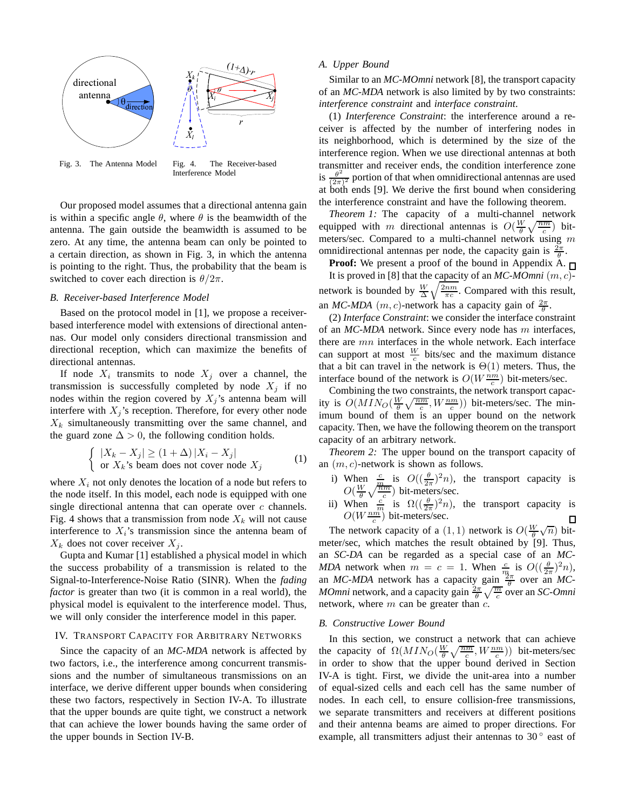

Fig. 3. The Antenna Model Fig. 4. The Receiver-based Interference Model

Our proposed model assumes that a directional antenna gain is within a specific angle  $\theta$ , where  $\theta$  is the beamwidth of the antenna. The gain outside the beamwidth is assumed to be zero. At any time, the antenna beam can only be pointed to a certain direction, as shown in Fig. 3, in which the antenna is pointing to the right. Thus, the probability that the beam is switched to cover each direction is  $\theta/2\pi$ .

# *B. Receiver-based Interference Model*

Based on the protocol model in [1], we propose a receiverbased interference model with extensions of directional antennas. Our model only considers directional transmission and directional reception, which can maximize the benefits of directional antennas.

If node  $X_i$  transmits to node  $X_j$  over a channel, the transmission is successfully completed by node  $X_j$  if no nodes within the region covered by  $X_j$ 's antenna beam will interfere with  $X_i$ 's reception. Therefore, for every other node  $X_k$  simultaneously transmitting over the same channel, and the guard zone  $\Delta > 0$ , the following condition holds.

$$
\begin{cases} |X_k - X_j| \ge (1 + \Delta) |X_i - X_j| \\ \text{or } X_k \text{'s beam does not cover node } X_j \end{cases}
$$
 (1)

where  $X_i$  not only denotes the location of a node but refers to the node itself. In this model, each node is equipped with one single directional antenna that can operate over  $c$  channels. Fig. 4 shows that a transmission from node  $X_k$  will not cause interference to  $X_i$ 's transmission since the antenna beam of  $X_k$  does not cover receiver  $X_i$ .

Gupta and Kumar [1] established a physical model in which the success probability of a transmission is related to the Signal-to-Interference-Noise Ratio (SINR). When the *fading factor* is greater than two (it is common in a real world), the physical model is equivalent to the interference model. Thus, we will only consider the interference model in this paper.

# IV. TRANSPORT CAPACITY FOR ARBITRARY NETWORKS

Since the capacity of an *MC-MDA* network is affected by two factors, i.e., the interference among concurrent transmissions and the number of simultaneous transmissions on an interface, we derive different upper bounds when considering these two factors, respectively in Section IV-A. To illustrate that the upper bounds are quite tight, we construct a network that can achieve the lower bounds having the same order of the upper bounds in Section IV-B.

## *A. Upper Bound*

Similar to an *MC-MOmni* network [8], the transport capacity of an *MC-MDA* network is also limited by by two constraints: *interference constraint* and *interface constraint*.

(1) *Interference Constraint*: the interference around a receiver is affected by the number of interfering nodes in its neighborhood, which is determined by the size of the interference region. When we use directional antennas at both transmitter and receiver ends, the condition interference zone is  $\frac{\theta^2}{\sqrt{2\pi}}$  $\frac{\theta^2}{(2\pi)^2}$  portion of that when omnidirectional antennas are used at both ends [9]. We derive the first bound when considering the interference constraint and have the following theorem.

*Theorem 1:* The capacity of a multi-channel network equipped with m directional antennas is  $O(\frac{W}{\theta}\sqrt{\frac{nm}{c}})$  bitmeters/sec. Compared to a multi-channel network using m omnidirectional antennas per node, the capacity gain is  $\frac{2\pi}{\theta}$ .

**Proof:** We present a proof of the bound in Appendix A.  $\sqcap$ It is proved in [8] that the capacity of an  $MC \text{-} M O m n i$   $(m, c)$ network is bounded by  $\frac{W}{\Delta} \sqrt{\frac{2nm}{\pi c}}$ . Compared with this result, an *MC-MDA*  $(m, c)$ -network has a capacity gain of  $\frac{2\pi}{\theta}$ .

(2) *Interface Constraint*: we consider the interface constraint of an *MC-MDA* network. Since every node has m interfaces, there are mn interfaces in the whole network. Each interface can support at most  $\frac{W}{c}$  bits/sec and the maximum distance that a bit can travel in the network is  $\Theta(1)$  meters. Thus, the interface bound of the network is  $O(W \frac{nm}{c})$  bit-meters/sec.

Combining the two constraints, the network transport capacity is  $O(MIN_0(\frac{W}{\theta}\sqrt{\frac{nm}{c}}, W_{\frac{nm}{c}}))$  bit-meters/sec. The minimum bound of them is an upper bound on the network capacity. Then, we have the following theorem on the transport capacity of an arbitrary network.

*Theorem 2:* The upper bound on the transport capacity of an  $(m, c)$ -network is shown as follows.

- i) When  $\frac{c}{m}$  is  $O((\frac{\theta}{2\pi})^2 n)$ , the transport capacity is  $O(\frac{W}{\theta}\sqrt{\frac{nm}{c}})$  bit-meters/sec.
- ii) When  $\frac{c}{m}$  is  $\Omega((\frac{\theta}{2\pi})^2 n)$ , the transport capacity is  $O(W \frac{nm}{c})$  bit-meters/sec.

The network capacity of a (1, 1) network is  $O(\frac{W}{\theta}\sqrt{n})$  bitmeter/sec, which matches the result obtained by [9]. Thus, an *SC-DA* can be regarded as a special case of an *MC-MDA* network when  $m = c = 1$ . When  $\frac{c}{m}$  is  $O((\frac{\theta}{2\pi})^2 n)$ , an *MC-MDA* network has a capacity gain  $\frac{2\pi}{\theta}$  over an *MC*-*MOmni* network, and a capacity gain  $\frac{2\pi}{\theta} \sqrt{\frac{m}{c}}$  over an *SC-Omni* network, where  $m$  can be greater than  $c$ .

# *B. Constructive Lower Bound*

In this section, we construct a network that can achieve the capacity of  $\Omega(MIN_{O}(\frac{W}{\theta}\sqrt{\frac{nm}{c}},W_{\frac{nm}{c}}))$  bit-meters/sec in order to show that the upper bound derived in Section IV-A is tight. First, we divide the unit-area into a number of equal-sized cells and each cell has the same number of nodes. In each cell, to ensure collision-free transmissions, we separate transmitters and receivers at different positions and their antenna beams are aimed to proper directions. For example, all transmitters adjust their antennas to  $30^{\circ}$  east of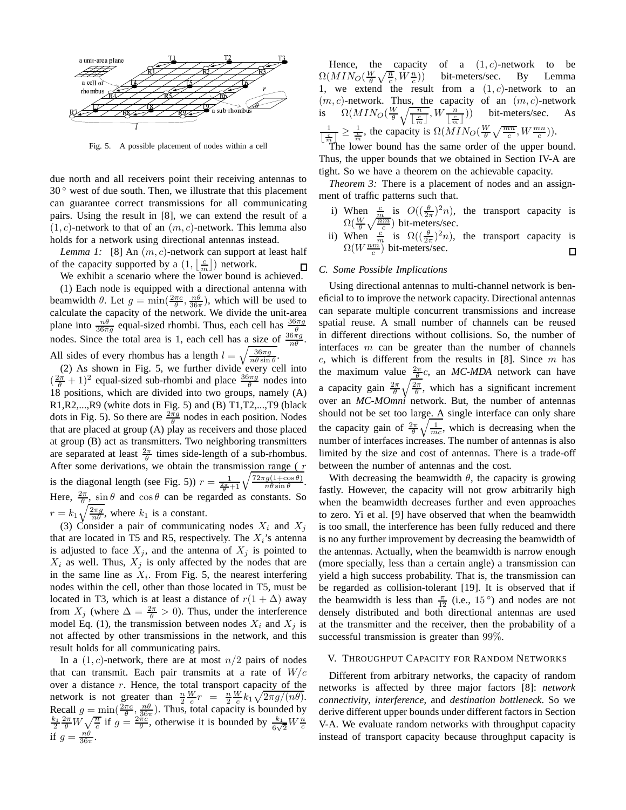

Fig. 5. A possible placement of nodes within a cell

due north and all receivers point their receiving antennas to 30<sup>°</sup> west of due south. Then, we illustrate that this placement can guarantee correct transmissions for all communicating pairs. Using the result in [8], we can extend the result of a  $(1, c)$ -network to that of an  $(m, c)$ -network. This lemma also holds for a network using directional antennas instead.

*Lemma 1:* [8] An  $(m, c)$ -network can support at least half of the capacity supported by a  $(1, \lfloor \frac{c}{m} \rfloor)$  network. □

We exhibit a scenario where the lower bound is achieved. (1) Each node is equipped with a directional antenna with

beamwidth  $\theta$ . Let  $g = \min(\frac{2\pi c}{\theta}, \frac{n\theta}{36\pi})$ , which will be used to calculate the capacity of the network. We divide the unit-area plane into  $\frac{n\theta}{36\pi g}$  equal-sized rhombi. Thus, each cell has  $\frac{36\pi g}{\theta}$ nodes. Since the total area is 1, each cell has a size of  $\frac{36\pi g}{n\theta}$ . All sides of every rhombus has a length  $l = \sqrt{\frac{36\pi g}{n\theta \sin \theta}}$ .

(2) As shown in Fig. 5, we further divide every cell into  $\left(\frac{2\pi}{\theta} + 1\right)^2$  equal-sized sub-rhombi and place  $\frac{36\pi g}{\theta}$  nodes into 18 positions, which are divided into two groups, namely (A) R1,R2,...,R9 (white dots in Fig. 5) and (B) T1,T2,...,T9 (black dots in Fig. 5). So there are  $\frac{2\pi g}{\theta}$  nodes in each position. Nodes that are placed at group (A) play as receivers and those placed at group (B) act as transmitters. Two neighboring transmitters are separated at least  $\frac{2\pi}{\theta}$  times side-length of a sub-rhombus. After some derivations, we obtain the transmission range ( $r$ ) is the diagonal length (see Fig. 5))  $r = \frac{1}{\frac{2\pi}{\theta} + 1} \sqrt{\frac{72\pi g(1 + \cos \theta)}{n\theta \sin \theta}}$  $\frac{g(1+\cos\theta)}{n\theta\sin\theta}$ . Here,  $\frac{2\pi}{\theta}$ ,  $\sin \theta$  and  $\cos \theta$  can be regarded as constants. So  $r = k_1 \sqrt{\frac{2\pi g}{n\theta}}$ , where  $k_1$  is a constant.

(3) Consider a pair of communicating nodes  $X_i$  and  $X_j$ that are located in T5 and R5, respectively. The  $X_i$ 's antenna is adjusted to face  $X_j$ , and the antenna of  $X_j$  is pointed to  $X_i$  as well. Thus,  $X_i$  is only affected by the nodes that are in the same line as  $X_i$ . From Fig. 5, the nearest interfering nodes within the cell, other than those located in T5, must be located in T3, which is at least a distance of  $r(1 + \Delta)$  away from  $X_j$  (where  $\Delta = \frac{2\pi}{\theta} > 0$ ). Thus, under the interference model Eq. (1), the transmission between nodes  $X_i$  and  $X_j$  is not affected by other transmissions in the network, and this result holds for all communicating pairs.

In a  $(1, c)$ -network, there are at most  $n/2$  pairs of nodes that can transmit. Each pair transmits at a rate of  $W/c$ over a distance  $r$ . Hence, the total transport capacity of the network is not greater than  $\frac{n}{2} \frac{W}{c} r = \frac{n}{2} \frac{W}{c} k_1 \sqrt{2 \pi g / (n \theta)}$ . Recall  $g = \min(\frac{2\pi c}{\theta}, \frac{n\theta}{36\pi})$ . Thus, total capacity is bounded by  $\frac{k_1}{2} \frac{2\pi}{\theta} W \sqrt{\frac{n}{c}}$  if  $g = \frac{2\pi c}{\theta}$ , otherwise it is bounded by  $\frac{k_1}{6\sqrt{2}} W \frac{n}{c}$ if  $g = \frac{n\theta}{36\pi}$ .

Hence, the capacity of a  $(1, c)$ -network to be  $\Omega(MIN_{O}(\frac{W}{\theta}\sqrt{\frac{n}{c}}, W\frac{n}{c}$ )) bit-meters/sec. By Lemma 1, we extend the result from a  $(1, c)$ -network to an  $(m, c)$ -network. Thus, the capacity of an  $(m, c)$ -network is  $\Omega(MIN_{O}(\frac{W}{\theta}\sqrt{\frac{n}{\log n}}))$  $\lfloor \frac{c}{m} \rfloor$ ,  $W\frac{n}{\sqrt{c}}$  $\lfloor \frac{c}{m} \rfloor$ )) bit-meters/sec. As 1  $\frac{1}{\left|\frac{c}{m_1}\right|} \geq \frac{1}{m_2}$ , the capacity is  $\Omega(MIN_{\mathcal{O}}(\frac{W}{\theta}\sqrt{\frac{mn}{c}}, W\frac{mn}{c}))$ .

The lower bound has the same order of the upper bound. Thus, the upper bounds that we obtained in Section IV-A are tight. So we have a theorem on the achievable capacity.

*Theorem 3:* There is a placement of nodes and an assignment of traffic patterns such that.

- i) When  $\frac{c}{m}$  is  $O((\frac{\theta}{2\pi})^2 n)$ , the transport capacity is  $\Omega(\frac{W}{\theta}\sqrt{\frac{nm}{c}})$  bit-meters/sec.
- ii) When  $\frac{c}{m}$  is  $\Omega((\frac{\theta}{2\pi})^2 n)$ , the transport capacity is  $\Omega(W^{\frac{nm}{c}})$  bit-meters/sec.  $\Box$

# *C. Some Possible Implications*

Using directional antennas to multi-channel network is beneficial to to improve the network capacity. Directional antennas can separate multiple concurrent transmissions and increase spatial reuse. A small number of channels can be reused in different directions without collisions. So, the number of interfaces  $m$  can be greater than the number of channels  $c$ , which is different from the results in [8]. Since  $m$  has the maximum value  $\frac{2\pi}{\theta}c$ , an *MC-MDA* network can have a capacity gain  $\frac{2\pi}{\theta}\sqrt{\frac{2\pi}{\theta}}$ , which has a significant increment over an *MC-MOmni* network. But, the number of antennas should not be set too large. A single interface can only share the capacity gain of  $\frac{2\pi}{\theta} \sqrt{\frac{1}{mc}}$ , which is decreasing when the number of interfaces increases. The number of antennas is also limited by the size and cost of antennas. There is a trade-off between the number of antennas and the cost.

With decreasing the beamwidth  $\theta$ , the capacity is growing fastly. However, the capacity will not grow arbitrarily high when the beamwidth decreases further and even approaches to zero. Yi et al. [9] have observed that when the beamwidth is too small, the interference has been fully reduced and there is no any further improvement by decreasing the beamwidth of the antennas. Actually, when the beamwidth is narrow enough (more specially, less than a certain angle) a transmission can yield a high success probability. That is, the transmission can be regarded as collision-tolerant [19]. It is observed that if the beamwidth is less than  $\frac{\pi}{12}$  (i.e., 15<sup>o</sup>) and nodes are not densely distributed and both directional antennas are used at the transmitter and the receiver, then the probability of a successful transmission is greater than 99%.

## V. THROUGHPUT CAPACITY FOR RANDOM NETWORKS

Different from arbitrary networks, the capacity of random networks is affected by three major factors [8]: *network connectivity*, *interference*, and *destination bottleneck*. So we derive different upper bounds under different factors in Section V-A. We evaluate random networks with throughput capacity instead of transport capacity because throughput capacity is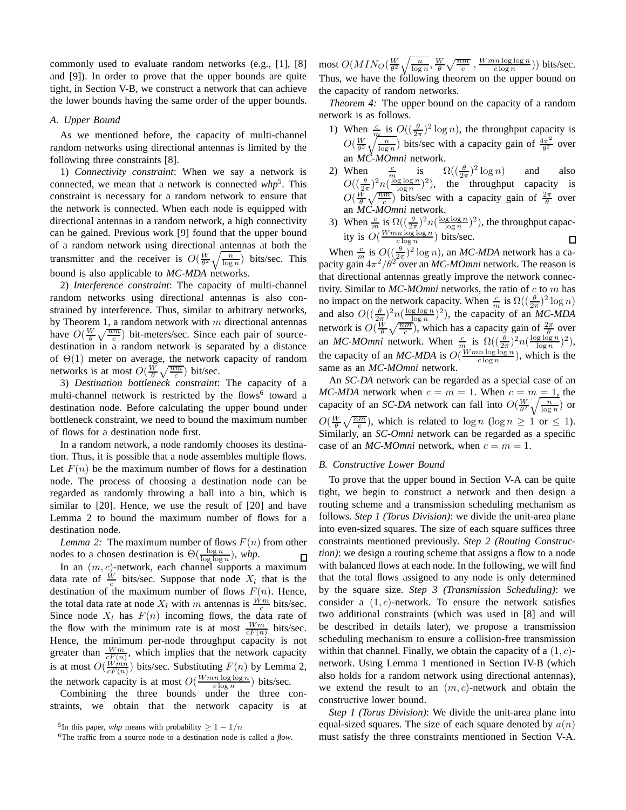commonly used to evaluate random networks (e.g., [1], [8] and [9]). In order to prove that the upper bounds are quite tight, in Section V-B, we construct a network that can achieve the lower bounds having the same order of the upper bounds.

# *A. Upper Bound*

As we mentioned before, the capacity of multi-channel random networks using directional antennas is limited by the following three constraints [8].

1) *Connectivity constraint*: When we say a network is connected, we mean that a network is connected *whp*<sup>5</sup> . This constraint is necessary for a random network to ensure that the network is connected. When each node is equipped with directional antennas in a random network, a high connectivity can be gained. Previous work [9] found that the upper bound of a random network using directional antennas at both the transmitter and the receiver is  $O(\frac{W}{\theta^2}\sqrt{\frac{n}{\log n}})$  bits/sec. This bound is also applicable to *MC-MDA* networks.

2) *Interference constraint*: The capacity of multi-channel random networks using directional antennas is also constrained by interference. Thus, similar to arbitrary networks, by Theorem 1, a random network with  $m$  directional antennas have  $O(\frac{W}{\theta}\sqrt{\frac{nm}{c}})$  bit-meters/sec. Since each pair of sourcedestination in a random network is separated by a distance of  $\Theta(1)$  meter on average, the network capacity of random networks is at most  $O(\frac{W}{\theta}\sqrt{\frac{nm}{c}})$  bit/sec.

3) *Destination bottleneck constraint*: The capacity of a multi-channel network is restricted by the flows<sup>6</sup> toward a destination node. Before calculating the upper bound under bottleneck constraint, we need to bound the maximum number of flows for a destination node first.

In a random network, a node randomly chooses its destination. Thus, it is possible that a node assembles multiple flows. Let  $F(n)$  be the maximum number of flows for a destination node. The process of choosing a destination node can be regarded as randomly throwing a ball into a bin, which is similar to [20]. Hence, we use the result of [20] and have Lemma 2 to bound the maximum number of flows for a destination node.

*Lemma 2:* The maximum number of flows  $F(n)$  from other nodes to a chosen destination is  $\Theta(\frac{\log n}{\log \log n})$ , *whp*.  $\overline{\Box}$ 

In an  $(m, c)$ -network, each channel supports a maximum data rate of  $\frac{W}{c}$  bits/sec. Suppose that node  $X_l$  that is the destination of the maximum number of flows  $F(n)$ . Hence, the total data rate at node  $X_l$  with m antennas is  $\frac{W_m}{c}$  bits/sec. Since node  $X_l$  has  $F(n)$  incoming flows, the data rate of the flow with the minimum rate is at most  $\frac{Wm}{cF(n)}$  bits/sec. Hence, the minimum per-node throughput capacity is not greater than  $\frac{Wm}{cF(n)}$ , which implies that the network capacity is at most  $O(\frac{Wmn}{cF(n)})$  bits/sec. Substituting  $F(n)$  by Lemma 2, the network capacity is at most  $O(\frac{Wmn \log \log n}{c \log n})$  bits/sec.

Combining the three bounds under the three constraints, we obtain that the network capacity is at most  $O(MIN_O(\frac{W}{\theta^2}\sqrt{\frac{n}{\log n}}, \frac{W}{\theta}\sqrt{\frac{nm}{c}}, \frac{Wmn\log\log n}{c\log n}))$  bits/sec. Thus, we have the following theorem on the upper bound on the capacity of random networks.

*Theorem 4:* The upper bound on the capacity of a random network is as follows.

- 1) When  $\frac{c}{m}$  is  $O((\frac{\theta}{2\pi})^2 \log n)$ , the throughput capacity is  $O(\frac{W}{\theta^2}\sqrt{\frac{n}{\log n}})$  bits/sec with a capacity gain of  $\frac{4\pi^2}{\theta^2}$  $rac{\pi^2}{\theta^2}$  over an *MC-MOmni* network.
- 2) When  $\frac{c}{m}$  is  $\Omega((\frac{\theta}{2\pi})^2 \log n)$  and also  $O((\frac{\theta}{2\pi})^2 n(\frac{\log \log n}{\log n})^2)$ , the throughput capacity is  $O(\frac{W}{\theta}\sqrt{\frac{nm}{c}})$  bits/sec with a capacity gain of  $\frac{2\pi}{\theta}$  over an *MC-MOmni* network.
- 3) When  $\frac{c}{m}$  is  $\Omega\left(\left(\frac{\theta}{2\pi}\right)^2 n\left(\frac{\log\log n}{\log n}\right)^2\right)$ , the throughput capacity is  $O(\frac{Wmn \log \log n}{c \log n})$  bits/sec.

When  $\frac{c}{m}$  is  $O\left(\left(\frac{\theta}{2\pi}\right)^2 \log n\right)$ , an *MC-MDA* network has a capacity gain  $4\pi^2/\theta^2$  over an *MC-MOmni* network. The reason is that directional antennas greatly improve the network connectivity. Similar to *MC-MOmni* networks, the ratio of c to m has no impact on the network capacity. When  $\frac{c}{m}$  is  $\Omega\left(\left(\frac{\theta}{2\pi}\right)^2 \log n\right)$ and also  $O((\frac{\theta}{2\pi})^2 n(\frac{\log\log n}{\log n})^2)$ , the capacity of an *MC-MDA* network is  $O(\frac{W}{\theta}\sqrt{\frac{nm}{c}})$ , which has a capacity gain of  $\frac{2\pi}{\theta}$  over an *MC-MOmni* network. When  $\frac{c}{m}$  is  $\Omega\left(\left(\frac{\theta}{2\pi}\right)^2 n\left(\frac{\log\log n}{\log n}\right)^2\right)$ , the capacity of an *MC-MDA* is  $O(\frac{Wmn \log \log n}{c \log n})$ , which is the same as an *MC-MOmni* network.

An *SC-DA* network can be regarded as a special case of an *MC-MDA* network when  $c = m = 1$ . When  $c = m = 1$ , the capacity of an *SC-DA* network can fall into  $O(\frac{W}{\theta^2}\sqrt{\frac{n}{\log n}})$  or  $O(\frac{W}{\theta}\sqrt{\frac{nm}{c}})$ , which is related to  $\log n \, (\log n \geq 1 \text{ or } \leq 1)$ . Similarly, an *SC-Omni* network can be regarded as a specific case of an *MC-MOmni* network, when  $c = m = 1$ .

# *B. Constructive Lower Bound*

To prove that the upper bound in Section V-A can be quite tight, we begin to construct a network and then design a routing scheme and a transmission scheduling mechanism as follows. *Step 1 (Torus Division)*: we divide the unit-area plane into even-sized squares. The size of each square suffices three constraints mentioned previously. *Step 2 (Routing Construction*): we design a routing scheme that assigns a flow to a node with balanced flows at each node. In the following, we will find that the total flows assigned to any node is only determined by the square size. *Step 3 (Transmission Scheduling)*: we consider a  $(1, c)$ -network. To ensure the network satisfies two additional constraints (which was used in [8] and will be described in details later), we propose a transmission scheduling mechanism to ensure a collision-free transmission within that channel. Finally, we obtain the capacity of a  $(1, c)$ network. Using Lemma 1 mentioned in Section IV-B (which also holds for a random network using directional antennas), we extend the result to an  $(m, c)$ -network and obtain the constructive lower bound.

*Step 1 (Torus Division)*: We divide the unit-area plane into equal-sized squares. The size of each square denoted by  $a(n)$ must satisfy the three constraints mentioned in Section V-A.

<sup>&</sup>lt;sup>5</sup>In this paper, *whp* means with probability  $\geq 1 - 1/n$ 

<sup>6</sup>The traffic from a source node to a destination node is called a *flow*.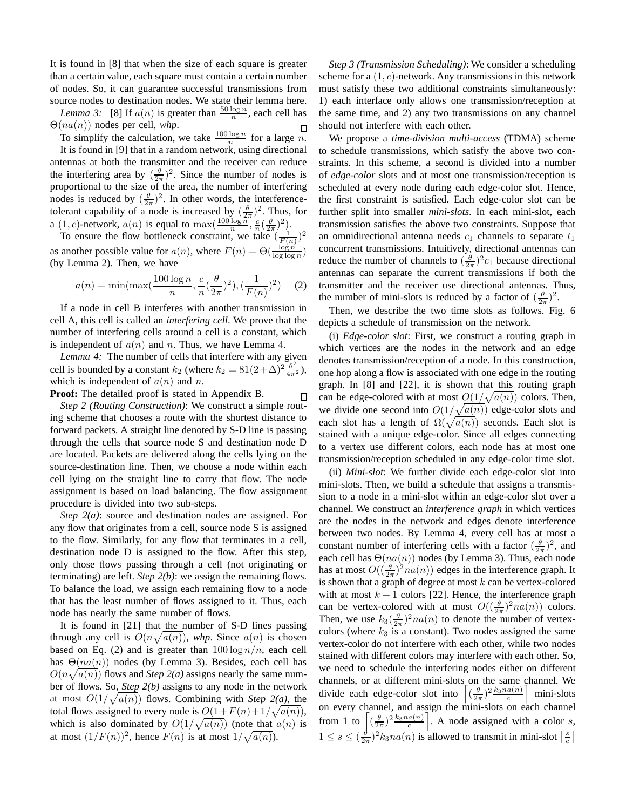It is found in [8] that when the size of each square is greater than a certain value, each square must contain a certain number of nodes. So, it can guarantee successful transmissions from source nodes to destination nodes. We state their lemma here.

*Lemma 3:* [8] If  $a(n)$  is greater than  $\frac{50 \log n}{n}$ , each cell has Θ(na(n)) nodes per cell, *whp*.  $\Box$ 

To simplify the calculation, we take  $\frac{100 \log n}{n}$  for a large *n*.

It is found in [9] that in a random network, using directional antennas at both the transmitter and the receiver can reduce the interfering area by  $(\frac{\theta}{2\pi})^2$ . Since the number of nodes is proportional to the size of the area, the number of interfering nodes is reduced by  $(\frac{\theta}{2\pi})^2$ . In other words, the interferencetolerant capability of a node is increased by  $(\frac{\theta}{2\pi})^2$ . Thus, for  $a(1, c)$ -network,  $a(n)$  is equal to  $\max(\frac{100 \log n}{n}, \frac{c}{n}(\frac{\theta}{2\pi})^2)$ .

To ensure the flow bottleneck constraint, we take  $(\frac{1}{F(n)})^2$ as another possible value for  $a(n)$ , where  $F(n) = \Theta(\frac{\log n}{\log \log n})$ (by Lemma 2). Then, we have

$$
a(n) = \min(\max(\frac{100\log n}{n}, \frac{c}{n}(\frac{\theta}{2\pi})^2), (\frac{1}{F(n)})^2)
$$
 (2)

If a node in cell B interferes with another transmission in cell A, this cell is called an *interfering cell*. We prove that the number of interfering cells around a cell is a constant, which is independent of  $a(n)$  and n. Thus, we have Lemma 4.

*Lemma 4:* The number of cells that interfere with any given cell is bounded by a constant  $k_2$  (where  $k_2 = 81(2+\Delta)^2 \frac{\theta^2}{4\pi^2}$ ), which is independent of  $a(n)$  and n.

 $\Box$ 

**Proof:** The detailed proof is stated in Appendix B.

*Step 2 (Routing Construction)*: We construct a simple routing scheme that chooses a route with the shortest distance to forward packets. A straight line denoted by S-D line is passing through the cells that source node S and destination node D are located. Packets are delivered along the cells lying on the source-destination line. Then, we choose a node within each cell lying on the straight line to carry that flow. The node assignment is based on load balancing. The flow assignment procedure is divided into two sub-steps.

*Step 2(a)*: source and destination nodes are assigned. For any flow that originates from a cell, source node S is assigned to the flow. Similarly, for any flow that terminates in a cell, destination node D is assigned to the flow. After this step, only those flows passing through a cell (not originating or terminating) are left. *Step 2(b)*: we assign the remaining flows. To balance the load, we assign each remaining flow to a node that has the least number of flows assigned to it. Thus, each node has nearly the same number of flows.

It is found in [21] that the number of S-D lines passing through any cell is  $O(n\sqrt{a(n)})$ , whp. Since  $a(n)$  is chosen based on Eq. (2) and is greater than  $100 \log n/n$ , each cell has  $\Theta(na(n))$  nodes (by Lemma 3). Besides, each cell has  $O(n\sqrt{a(n)})$  flows and *Step 2(a)* assigns nearly the same number of flows. So, *Step 2(b)* assigns to any node in the network at most  $O(1/\sqrt{a(n)})$  flows. Combining with *Step 2(a)*, the total flows assigned to every node is  $O(1 + F(n) + 1/\sqrt{a(n)})$ , which is also dominated by  $O(1/\sqrt{a(n)})$  (note that  $a(n)$ ) is at most  $(1/F(n))^2$ , hence  $F(n)$  is at most  $1/\sqrt{a(n)}$ ).

*Step 3 (Transmission Scheduling)*: We consider a scheduling scheme for a  $(1, c)$ -network. Any transmissions in this network must satisfy these two additional constraints simultaneously: 1) each interface only allows one transmission/reception at the same time, and 2) any two transmissions on any channel should not interfere with each other.

We propose a *time-division multi-access* (TDMA) scheme to schedule transmissions, which satisfy the above two constraints. In this scheme, a second is divided into a number of *edge-color* slots and at most one transmission/reception is scheduled at every node during each edge-color slot. Hence, the first constraint is satisfied. Each edge-color slot can be further split into smaller *mini-slots*. In each mini-slot, each transmission satisfies the above two constraints. Suppose that an omnidirectional antenna needs  $c_1$  channels to separate  $t_1$ concurrent transmissions. Intuitively, directional antennas can reduce the number of channels to  $(\frac{\theta}{2\pi})^2 c_1$  because directional antennas can separate the current transmissions if both the transmitter and the receiver use directional antennas. Thus, the number of mini-slots is reduced by a factor of  $(\frac{\theta}{2\pi})^2$ .

Then, we describe the two time slots as follows. Fig. 6 depicts a schedule of transmission on the network.

(i) *Edge-color slot*: First, we construct a routing graph in which vertices are the nodes in the network and an edge denotes transmission/reception of a node. In this construction, one hop along a flow is associated with one edge in the routing graph. In [8] and [22], it is shown that this routing graph can be edge-colored with at most  $O(1/\sqrt{a(n)})$  colors. Then, we divide one second into  $O(1/\sqrt{a(n)})$  edge-color slots and each slot has a length of  $\Omega(\sqrt{a(n)})$  seconds. Each slot is stained with a unique edge-color. Since all edges connecting to a vertex use different colors, each node has at most one transmission/reception scheduled in any edge-color time slot.

(ii) *Mini-slot*: We further divide each edge-color slot into mini-slots. Then, we build a schedule that assigns a transmission to a node in a mini-slot within an edge-color slot over a channel. We construct an *interference graph* in which vertices are the nodes in the network and edges denote interference between two nodes. By Lemma 4, every cell has at most a constant number of interfering cells with a factor  $(\frac{\theta}{2\pi})^2$ , and each cell has  $\Theta(na(n))$  nodes (by Lemma 3). Thus, each node has at most  $O((\frac{\theta}{2\pi})^2 na(n))$  edges in the interference graph. It is shown that a graph of degree at most  $k$  can be vertex-colored with at most  $k + 1$  colors [22]. Hence, the interference graph can be vertex-colored with at most  $O((\frac{\theta}{2\pi})^2 na(n))$  colors. Then, we use  $k_3(\frac{\theta}{2\pi})^2 n a(n)$  to denote the number of vertexcolors (where  $k_3$  is a constant). Two nodes assigned the same vertex-color do not interfere with each other, while two nodes stained with different colors may interfere with each other. So, we need to schedule the interfering nodes either on different channels, or at different mini-slots on the same channel. We divide each edge-color slot into  $\left[ \left( \frac{\theta}{2\pi} \right)^2 \frac{k_3 n a(n)}{c} \right]$  mini-slots on every channel, and assign the mini-slots on each channel from 1 to  $\left[ \left( \frac{\theta}{2\pi} \right)^2 \frac{k_3 n a(n)}{c} \right]$ . A node assigned with a color s,  $1 \leq s \leq (\frac{\theta}{2\pi})^2 k_3 n a(n)$  is allowed to transmit in mini-slot  $\lceil \frac{s}{c} \rceil$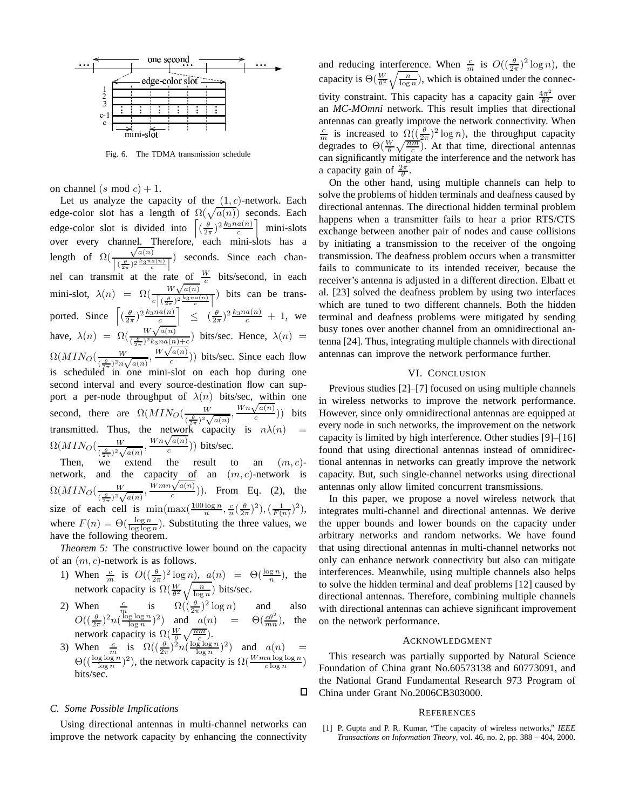

Fig. 6. The TDMA transmission schedule

on channel (s mod  $c$ ) + 1.

Let us analyze the capacity of the  $(1, c)$ -network. Each edge-color slot has a length of  $\Omega(\sqrt{a(n)})$  seconds. Each edge-color slot is divided into  $\left[ \left( \frac{\theta}{2\pi} \right)^2 \frac{k_3 n a(n)}{c} \right]$  mini-slots over every channel. Therefore, each mini-slots has a length of  $\Omega($  $\sqrt{a(n)}$  $\frac{\sqrt{u(n)}}{\left[\left(\frac{\theta}{2\pi}\right)^2\frac{k_3n_a(n)}{c}\right]}$  seconds. Since each channel can transmit at the rate of  $\frac{W}{c}$  bits/second, in each mini-slot,  $\lambda(n) = \Omega(\frac{W\sqrt{a(n)}}{\sqrt{a(n)}})$  $\frac{W \sqrt{\alpha(h)}}{c \left[ \left( \frac{\theta}{2\pi} \right)^2 \frac{k_3 n a(n)}{c} \right]}$  bits can be transported. Since  $\left[ \left( \frac{\theta}{2\pi} \right)^2 \frac{k_3 n a(n)}{c} \right] \leq \left( \frac{\theta}{2\pi} \right)^2 \frac{k_3 n a(n)}{c} + 1$ , we have,  $\lambda(n) = \Omega(\frac{W\sqrt{a(n)}}{(n+1)^2 k \log a(n)})$  $\frac{\partial^{\nu} \nabla u(n)}{(\frac{\theta}{2\pi})^2 k_3 n a(n) + c}$ ) bits/sec. Hence,  $\lambda(n)$  =  $\Omega(MIN_{O}(\frac{W}{\sqrt{\theta N^{2}}})$  $\frac{W}{(\frac{\theta}{2\pi})^2 n \sqrt{a(n)}}, \frac{W\sqrt{a(n)}}{c}$  $\frac{a(n)}{c}$ )) bits/sec. Since each flow is scheduled in one mini-slot on each hop during one second interval and every source-destination flow can support a per-node throughput of  $\lambda(n)$  bits/sec, within one second, there are  $\Omega(MIN_{O}(\frac{W}{(m)})^{2})$  $\frac{W}{(\frac{\theta}{2\pi})^2 \sqrt{a(n)}}$ ,  $\frac{Wn\sqrt{a(n)}}{c}$  $\frac{a(n)}{c}$ ) bits transmitted. Thus, the network capacity is  $n\lambda(n)$  =  $\Omega(MIN_{O}(\frac{W}{\epsilon \theta \lambda^{2}}))$  $\frac{W}{(\frac{\theta}{2\pi})^2 \sqrt{a(n)}}$ ,  $\frac{Wn\sqrt{a(n)}}{c}$  $\frac{\sqrt{u(n)}}{c}$ )) bits/sec.

Then, we extend the result to an  $(m, c)$ network, and the capacity of an  $(m, c)$ -network is  $\Omega(MIN_{O}(\frac{W}{\epsilon \theta \lambda^{2}}))$  $\frac{W}{(\frac{\theta}{2\pi})^2 \sqrt{a(n)}}$ ,  $\frac{Wmn\sqrt{a(n)}}{c}$  $\frac{\sqrt{a(n)}}{c})$ ). From Eq. (2), the size of each cell is  $\min(\max(\frac{100 \log n}{n}, \frac{c}{n}(\frac{\theta}{2\pi})^2), (\frac{1}{F(n)})^2),$ where  $F(n) = \Theta(\frac{\log n}{\log \log n})$ . Substituting the three values, we have the following theorem.

*Theorem 5:* The constructive lower bound on the capacity of an  $(m, c)$ -network is as follows.

- 1) When  $\frac{c}{m}$  is  $O((\frac{\theta}{2\pi})^2 \log n)$ ,  $a(n) = \Theta(\frac{\log n}{n})$ , the network capacity is  $\Omega(\frac{W}{\theta^2}\sqrt{\frac{n}{\log n}})$  bits/sec.
- 2) When  $\frac{c}{m}$  is  $\Omega((\frac{\theta}{2\pi})^2 \log n)$  and also  $O((\frac{\theta}{2\pi})^2 n(\frac{\log \log n}{\log n})^2)$  and  $a(n) = \Theta(\frac{e\theta^2}{mn})$ , the network capacity is  $\Omega(\frac{W}{\theta}\sqrt{\frac{nm}{c}})$ .
- 3) When  $\frac{c}{m}$  is  $\Omega\left(\left(\frac{\theta}{2\pi}\right)^2 n\left(\frac{\log \log n}{\log n}\right)^2\right)$  and  $a(n)$  =  $\Theta((\frac{\log \log n}{\log n})^2)$ , the network capacity is  $\Omega(\frac{Wmn \log \log n}{c \log n})$ bits/sec.

 $\Box$ 

# *C. Some Possible Implications*

Using directional antennas in multi-channel networks can improve the network capacity by enhancing the connectivity

and reducing interference. When  $\frac{c}{m}$  is  $O((\frac{\theta}{2\pi})^2 \log n)$ , the capacity is  $\Theta(\frac{W}{\theta^2}\sqrt{\frac{n}{\log n}})$ , which is obtained under the connectivity constraint. This capacity has a capacity gain  $\frac{4\pi^2}{\theta^2}$  $rac{\pi^2}{\theta^2}$  over an *MC-MOmni* network. This result implies that directional antennas can greatly improve the network connectivity. When  $\frac{c}{m}$  is increased to  $\Omega(\frac{\theta}{2\pi})^2 \log n$ , the throughput capacity degrades to  $\Theta(\frac{W}{\theta}\sqrt{\frac{nm}{c}})$ . At that time, directional antennas can significantly mitigate the interference and the network has a capacity gain of  $\frac{2\pi}{\theta}$ .

On the other hand, using multiple channels can help to solve the problems of hidden terminals and deafness caused by directional antennas. The directional hidden terminal problem happens when a transmitter fails to hear a prior RTS/CTS exchange between another pair of nodes and cause collisions by initiating a transmission to the receiver of the ongoing transmission. The deafness problem occurs when a transmitter fails to communicate to its intended receiver, because the receiver's antenna is adjusted in a different direction. Elbatt et al. [23] solved the deafness problem by using two interfaces which are tuned to two different channels. Both the hidden terminal and deafness problems were mitigated by sending busy tones over another channel from an omnidirectional antenna [24]. Thus, integrating multiple channels with directional antennas can improve the network performance further.

# VI. CONCLUSION

Previous studies [2]–[7] focused on using multiple channels in wireless networks to improve the network performance. However, since only omnidirectional antennas are equipped at every node in such networks, the improvement on the network capacity is limited by high interference. Other studies [9]–[16] found that using directional antennas instead of omnidirectional antennas in networks can greatly improve the network capacity. But, such single-channel networks using directional antennas only allow limited concurrent transmissions.

In this paper, we propose a novel wireless network that integrates multi-channel and directional antennas. We derive the upper bounds and lower bounds on the capacity under arbitrary networks and random networks. We have found that using directional antennas in multi-channel networks not only can enhance network connectivity but also can mitigate interferences. Meanwhile, using multiple channels also helps to solve the hidden terminal and deaf problems [12] caused by directional antennas. Therefore, combining multiple channels with directional antennas can achieve significant improvement on the network performance.

# ACKNOWLEDGMENT

This research was partially supported by Natural Science Foundation of China grant No.60573138 and 60773091, and the National Grand Fundamental Research 973 Program of China under Grant No.2006CB303000.

#### **REFERENCES**

[1] P. Gupta and P. R. Kumar, "The capacity of wireless networks," *IEEE Transactions on Information Theory*, vol. 46, no. 2, pp. 388 – 404, 2000.